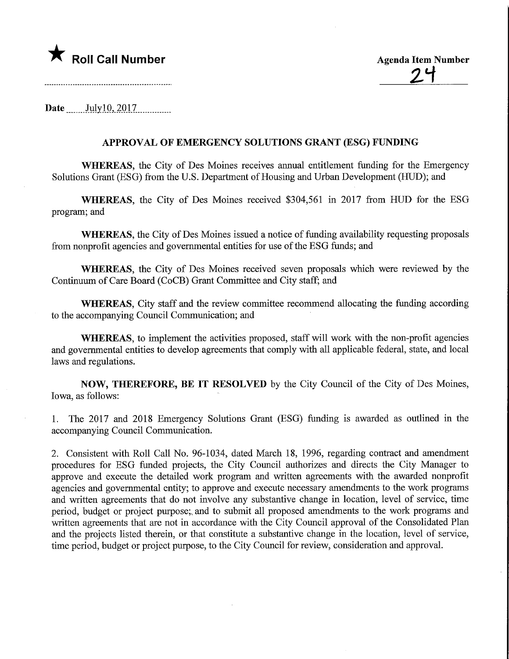

Roll Call Number<br>
24

Date July10, 2017.

## APPROVAL OF EMERGENCY SOLUTIONS GRANT (ESG) FUNDING

WHEREAS, the City of Des Moines receives annual entitlement funding for the Emergency Solutions Grant (ESG) from the U.S. Department of Housing and Urban Development (HUD); and

WHEREAS, the City of Des Moines received \$304,561 in 2017 from HUD for the ESG program; and

WHEREAS, the City of Des Moines issued a notice of funding availability requesting proposals from nonprofit agencies and governmental entities for use of the ESG funds; and

WHEREAS, the City of Des Moines received seven proposals which were reviewed by the Continuum of Care Board (CoCB) Grant Committee and City staff; and

WHEREAS, City staff and the review committee recommend allocating the funding according to the accompanying Council Communication; and

WHEREAS, to implement the activities proposed, staff will work with the non-profit agencies and governmental entities to develop agreements that comply with all applicable federal, state, and local laws and regulations.

NOW, THEREFORE, BE IT RESOLVED by the City Council of the City of Des Moines, Iowa, as follows:

1. The 2017 and 2018 Emergency Solutions Grant (ESG) funding is awarded as outlined in the accompanying Council Communication.

2. Consistent with Roll Call No. 96-1034, dated March 18, 1996, regarding contract and amendment procedures for ESG funded projects, the City Council authorizes and directs the City Manager to approve and execute the detailed work program and written agreements with the awarded nonprofit agencies and governmental entity; to approve and execute necessary amendments to the work programs and written agreements that do not involve any substantive change in location, level of service, time period, budget or project purpose;, and to submit all proposed amendments to the work programs and written agreements that are not in accordance with the City Council approval of the Consolidated Plan and the projects listed therein, or that constitute a substantive change in the location, level of service, time period, budget or project purpose, to the City Council for review, consideration and approval.